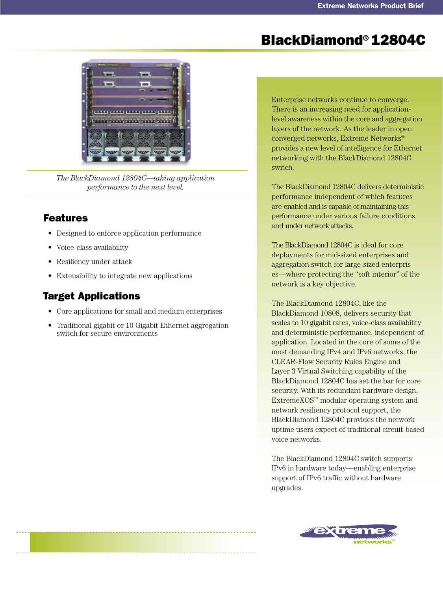# BlackDiamond® 12804C



*The BlackDiamond 12804C—taking application performance to the next level.*

# Features

- Designed to enforce application performance •
- Voice-class availability •
- Resiliency under attack
- Extensibility to integrate new applications •

# Target Applications

- Core applications for small and medium enterprises
- Traditional gigabit or 10 Gigabit Ethernet aggregation switch for secure environments

Enterprise networks continue to converge. There is an increasing need for applicationlevel awareness within the core and aggregation layers of the network. As the leader in open converged networks, Extreme Networks® provides a new level of intelligence for Ethernet networking with the BlackDiamond 12804C switch.

The BlackDiamond 12804C delivers deterministic performance independent of which features are enabled and is capable of maintaining this performance under various failure conditions and under network attacks.

The BlackDiamond 12804C is ideal for core deployments for mid-sized enterprises and aggregation switch for large-sized enterprises—where protecting the "soft interior" of the network is a key objective.

The BlackDiamond 12804C, like the BlackDiamond 10808, delivers security that scales to 10 gigabit rates, voice-class availability and deterministic performance, independent of application. Located in the core of some of the most demanding IPv4 and IPv6 networks, the CLEAR-Flow Security Rules Engine and Layer 3 Virtual Switching capability of the BlackDiamond 12804C has set the bar for core security. With its redundant hardware design, ExtremeXOS™ modular operating system and network resiliency protocol support, the BlackDiamond 12804C provides the network uptime users expect of traditional circuit-based voice networks.

The BlackDiamond 12804C switch supports IPv6 in hardware today—enabling enterprise support of IPv6 traffic without hardware upgrades.